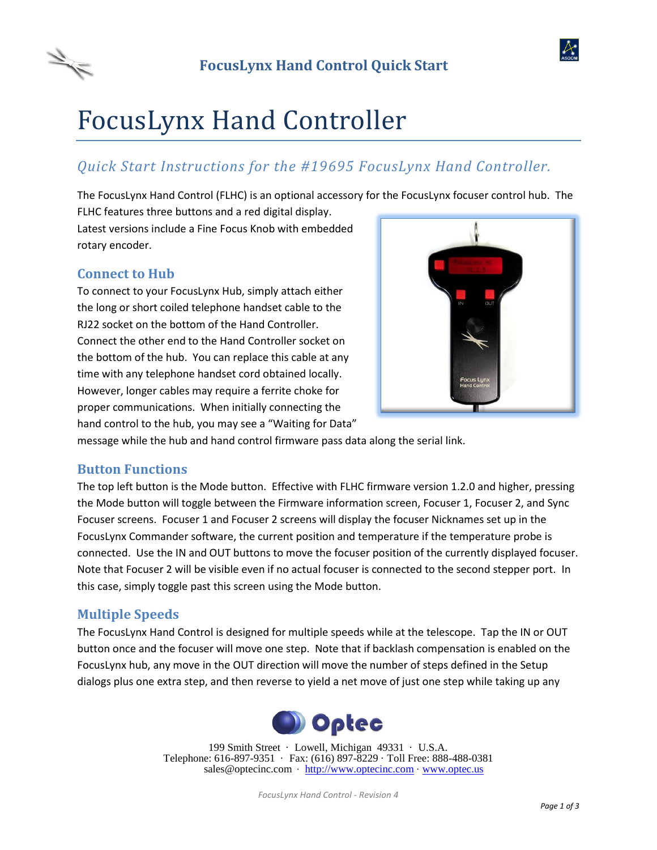



# FocusLynx Hand Controller

# *Quick Start Instructions for the #19695 FocusLynx Hand Controller.*

The FocusLynx Hand Control (FLHC) is an optional accessory for the FocusLynx focuser control hub. The FLHC features three buttons and a red digital display.

Latest versions include a Fine Focus Knob with embedded rotary encoder.

### **Connect to Hub**

To connect to your FocusLynx Hub, simply attach either the long or short coiled telephone handset cable to the RJ22 socket on the bottom of the Hand Controller. Connect the other end to the Hand Controller socket on the bottom of the hub. You can replace this cable at any time with any telephone handset cord obtained locally. However, longer cables may require a ferrite choke for proper communications. When initially connecting the hand control to the hub, you may see a "Waiting for Data"



message while the hub and hand control firmware pass data along the serial link.

#### **Button Functions**

The top left button is the Mode button. Effective with FLHC firmware version 1.2.0 and higher, pressing the Mode button will toggle between the Firmware information screen, Focuser 1, Focuser 2, and Sync Focuser screens. Focuser 1 and Focuser 2 screens will display the focuser Nicknames set up in the FocusLynx Commander software, the current position and temperature if the temperature probe is connected. Use the IN and OUT buttons to move the focuser position of the currently displayed focuser. Note that Focuser 2 will be visible even if no actual focuser is connected to the second stepper port. In this case, simply toggle past this screen using the Mode button.

#### **Multiple Speeds**

The FocusLynx Hand Control is designed for multiple speeds while at the telescope. Tap the IN or OUT button once and the focuser will move one step. Note that if backlash compensation is enabled on the FocusLynx hub, any move in the OUT direction will move the number of steps defined in the Setup dialogs plus one extra step, and then reverse to yield a net move of just one step while taking up any



199 Smith Street · Lowell, Michigan 49331 · U.S.A. Telephone: 616-897-9351 · Fax: (616) 897-8229 · Toll Free: 888-488-0381 sales@optecinc.com · [http://www.optecinc.com](http://www.optecinc.com/) · [www.optec.us](file://///Epsilon/data/Office%20Files/PRICES/Optec%20Prices%20and%20Terms/www.optec.us)

*FocusLynx Hand Control - Revision 4*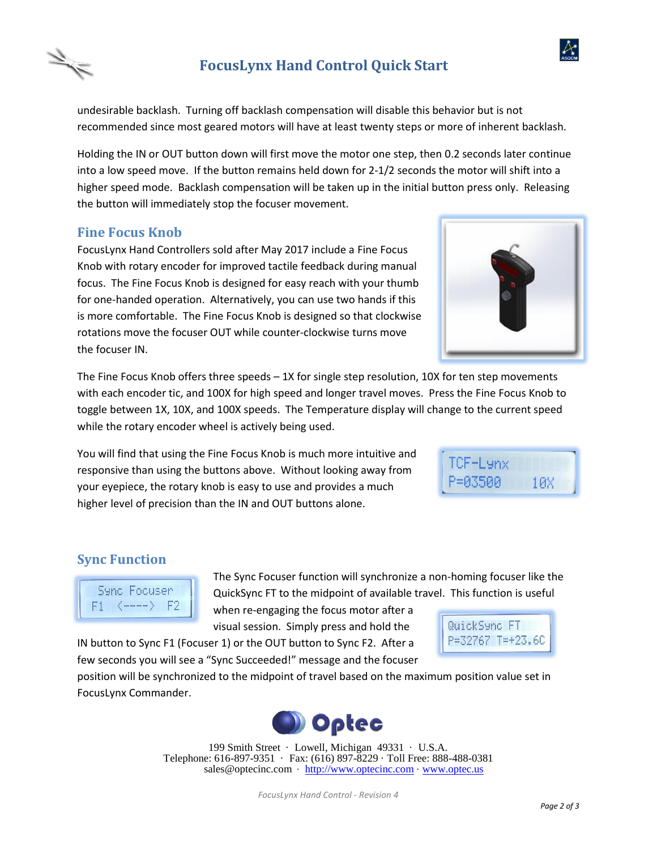# **FocusLynx Hand Control Quick Start**

undesirable backlash. Turning off backlash compensation will disable this behavior but is not recommended since most geared motors will have at least twenty steps or more of inherent backlash.

Holding the IN or OUT button down will first move the motor one step, then 0.2 seconds later continue into a low speed move. If the button remains held down for 2-1/2 seconds the motor will shift into a higher speed mode. Backlash compensation will be taken up in the initial button press only. Releasing the button will immediately stop the focuser movement.

#### **Fine Focus Knob**

FocusLynx Hand Controllers sold after May 2017 include a Fine Focus Knob with rotary encoder for improved tactile feedback during manual focus. The Fine Focus Knob is designed for easy reach with your thumb for one-handed operation. Alternatively, you can use two hands if this is more comfortable. The Fine Focus Knob is designed so that clockwise rotations move the focuser OUT while counter-clockwise turns move the focuser IN.

The Fine Focus Knob offers three speeds – 1X for single step resolution, 10X for ten step movements with each encoder tic, and 100X for high speed and longer travel moves. Press the Fine Focus Knob to toggle between 1X, 10X, and 100X speeds. The Temperature display will change to the current speed while the rotary encoder wheel is actively being used.

You will find that using the Fine Focus Knob is much more intuitive and responsive than using the buttons above. Without looking away from your eyepiece, the rotary knob is easy to use and provides a much higher level of precision than the IN and OUT buttons alone.

## **Sync Function**

E1

Sync Focuser  $\leftarrow$  F2 The Sync Focuser function will synchronize a non-homing focuser like the QuickSync FT to the midpoint of available travel. This function is useful

when re-engaging the focus motor after a visual session. Simply press and hold the

IN button to Sync F1 (Focuser 1) or the OUT button to Sync F2. After a few seconds you will see a "Sync Succeeded!" message and the focuser

position will be synchronized to the midpoint of travel based on the maximum position value set in FocusLynx Commander.



199 Smith Street · Lowell, Michigan 49331 · U.S.A. Telephone: 616-897-9351 · Fax: (616) 897-8229 · Toll Free: 888-488-0381 sales@optecinc.com · [http://www.optecinc.com](http://www.optecinc.com/) · [www.optec.us](file://///Epsilon/data/Office%20Files/PRICES/Optec%20Prices%20and%20Terms/www.optec.us)



10X







TCF-Lynx Р=Й35ЙЙ